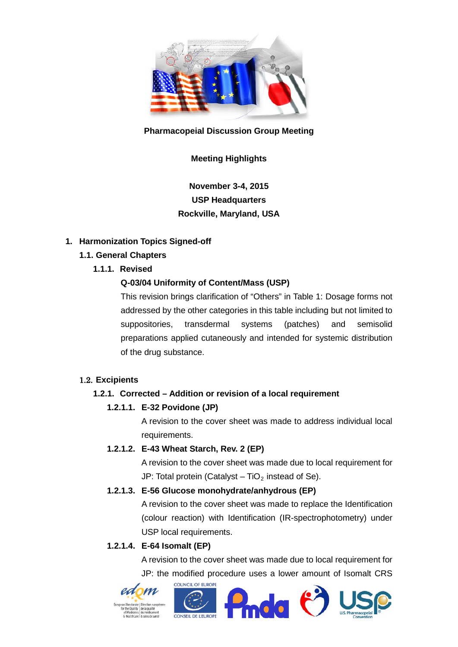

#### **Pharmacopeial Discussion Group Meeting**

## **Meeting Highlights**

# **November 3-4, 2015 USP Headquarters Rockville, Maryland, USA**

### **1. Harmonization Topics Signed-off**

## **1.1. General Chapters**

**1.1.1. Revised**

### **Q-03/04 Uniformity of Content/Mass (USP)**

This revision brings clarification of "Others" in Table 1: Dosage forms not addressed by the other categories in this table including but not limited to suppositories, transdermal systems (patches) and semisolid preparations applied cutaneously and intended for systemic distribution of the drug substance.

## 1.2. **Excipients**

## **1.2.1. Corrected – Addition or revision of a local requirement**

## **1.2.1.1. E-32 Povidone (JP)**

A revision to the cover sheet was made to address individual local requirements.

## **1.2.1.2. E-43 Wheat Starch, Rev. 2 (EP)**

A revision to the cover sheet was made due to local requirement for JP: Total protein (Catalyst –  $TiO<sub>2</sub>$  instead of Se).

#### **1.2.1.3. E-56 Glucose monohydrate/anhydrous (EP)**

A revision to the cover sheet was made to replace the Identification (colour reaction) with Identification (IR-spectrophotometry) under USP local requirements.

#### **1.2.1.4. E-64 Isomalt (EP)**

A revision to the cover sheet was made due to local requirement for JP: the modified procedure uses a lower amount of Isomalt CRS

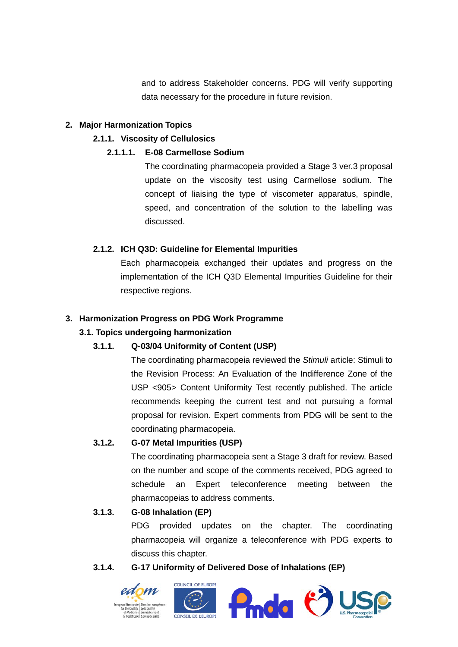and to address Stakeholder concerns. PDG will verify supporting data necessary for the procedure in future revision.

#### **2. Major Harmonization Topics**

### **2.1.1. Viscosity of Cellulosics**

### **2.1.1.1. E-08 Carmellose Sodium**

The coordinating pharmacopeia provided a Stage 3 ver.3 proposal update on the viscosity test using Carmellose sodium. The concept of liaising the type of viscometer apparatus, spindle, speed, and concentration of the solution to the labelling was discussed.

## **2.1.2. ICH Q3D: Guideline for Elemental Impurities**

Each pharmacopeia exchanged their updates and progress on the implementation of the ICH Q3D Elemental Impurities Guideline for their respective regions.

### **3. Harmonization Progress on PDG Work Programme**

## **3.1. Topics undergoing harmonization**

## **3.1.1. Q-03/04 Uniformity of Content (USP)**

The coordinating pharmacopeia reviewed the *Stimuli* article: Stimuli to the Revision Process: An Evaluation of the Indifference Zone of the USP <905> Content Uniformity Test recently published. The article recommends keeping the current test and not pursuing a formal proposal for revision. Expert comments from PDG will be sent to the coordinating pharmacopeia.

## **3.1.2. G-07 Metal Impurities (USP)**

The coordinating pharmacopeia sent a Stage 3 draft for review. Based on the number and scope of the comments received, PDG agreed to schedule an Expert teleconference meeting between the pharmacopeias to address comments.

#### **3.1.3. G-08 Inhalation (EP)**

PDG provided updates on the chapter. The coordinating pharmacopeia will organize a teleconference with PDG experts to discuss this chapter.

#### **3.1.4. G-17 Uniformity of Delivered Dose of Inhalations (EP)**







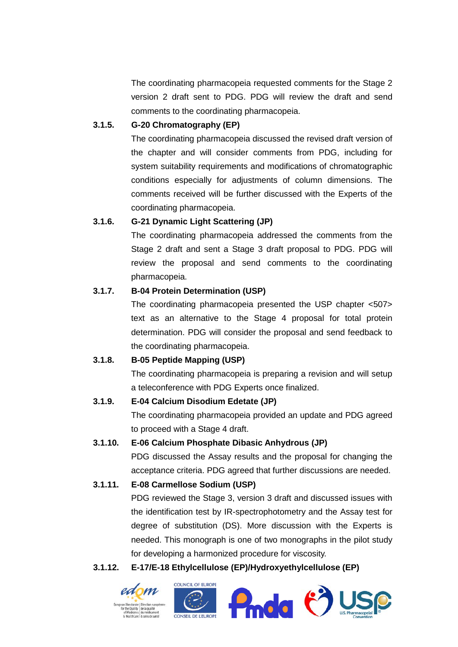The coordinating pharmacopeia requested comments for the Stage 2 version 2 draft sent to PDG. PDG will review the draft and send comments to the coordinating pharmacopeia.

#### **3.1.5. G-20 Chromatography (EP)**

The coordinating pharmacopeia discussed the revised draft version of the chapter and will consider comments from PDG, including for system suitability requirements and modifications of chromatographic conditions especially for adjustments of column dimensions. The comments received will be further discussed with the Experts of the coordinating pharmacopeia.

### **3.1.6. G-21 Dynamic Light Scattering (JP)**

The coordinating pharmacopeia addressed the comments from the Stage 2 draft and sent a Stage 3 draft proposal to PDG. PDG will review the proposal and send comments to the coordinating pharmacopeia.

## **3.1.7. B-04 Protein Determination (USP)**

The coordinating pharmacopeia presented the USP chapter <507> text as an alternative to the Stage 4 proposal for total protein determination. PDG will consider the proposal and send feedback to the coordinating pharmacopeia.

## **3.1.8. B-05 Peptide Mapping (USP)**

The coordinating pharmacopeia is preparing a revision and will setup a teleconference with PDG Experts once finalized.

## **3.1.9. E-04 Calcium Disodium Edetate (JP)**

The coordinating pharmacopeia provided an update and PDG agreed to proceed with a Stage 4 draft.

## **3.1.10. E-06 Calcium Phosphate Dibasic Anhydrous (JP)**

PDG discussed the Assay results and the proposal for changing the acceptance criteria. PDG agreed that further discussions are needed.

## **3.1.11. E-08 Carmellose Sodium (USP)**

PDG reviewed the Stage 3, version 3 draft and discussed issues with the identification test by IR-spectrophotometry and the Assay test for degree of substitution (DS). More discussion with the Experts is needed. This monograph is one of two monographs in the pilot study for developing a harmonized procedure for viscosity.

#### **3.1.12. E-17/E-18 Ethylcellulose (EP)/Hydroxyethylcellulose (EP)**







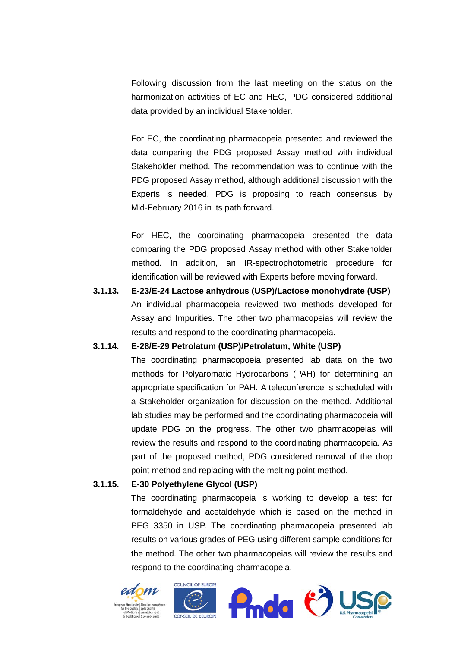Following discussion from the last meeting on the status on the harmonization activities of EC and HEC, PDG considered additional data provided by an individual Stakeholder.

For EC, the coordinating pharmacopeia presented and reviewed the data comparing the PDG proposed Assay method with individual Stakeholder method. The recommendation was to continue with the PDG proposed Assay method, although additional discussion with the Experts is needed. PDG is proposing to reach consensus by Mid-February 2016 in its path forward.

For HEC, the coordinating pharmacopeia presented the data comparing the PDG proposed Assay method with other Stakeholder method. In addition, an IR-spectrophotometric procedure for identification will be reviewed with Experts before moving forward.

**3.1.13. E-23/E-24 Lactose anhydrous (USP)/Lactose monohydrate (USP)** An individual pharmacopeia reviewed two methods developed for Assay and Impurities. The other two pharmacopeias will review the results and respond to the coordinating pharmacopeia.

#### **3.1.14. E-28/E-29 Petrolatum (USP)/Petrolatum, White (USP)**

The coordinating pharmacopoeia presented lab data on the two methods for Polyaromatic Hydrocarbons (PAH) for determining an appropriate specification for PAH. A teleconference is scheduled with a Stakeholder organization for discussion on the method. Additional lab studies may be performed and the coordinating pharmacopeia will update PDG on the progress. The other two pharmacopeias will review the results and respond to the coordinating pharmacopeia. As part of the proposed method, PDG considered removal of the drop point method and replacing with the melting point method.

### **3.1.15. E-30 Polyethylene Glycol (USP)**

The coordinating pharmacopeia is working to develop a test for formaldehyde and acetaldehyde which is based on the method in PEG 3350 in USP. The coordinating pharmacopeia presented lab results on various grades of PEG using different sample conditions for the method. The other two pharmacopeias will review the results and respond to the coordinating pharmacopeia.





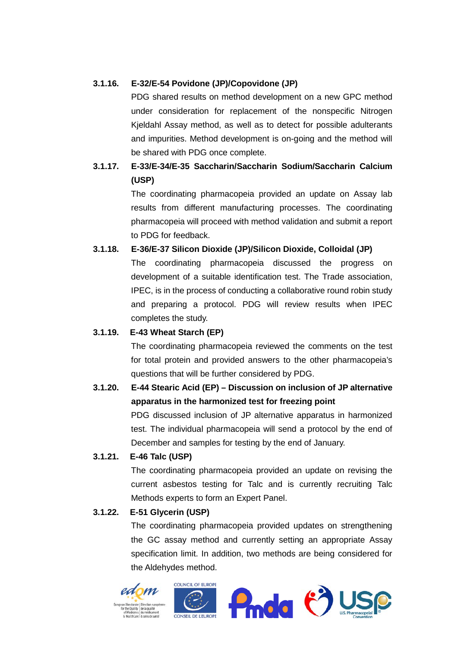### **3.1.16. E-32/E-54 Povidone (JP)/Copovidone (JP)**

PDG shared results on method development on a new GPC method under consideration for replacement of the nonspecific Nitrogen Kjeldahl Assay method, as well as to detect for possible adulterants and impurities. Method development is on-going and the method will be shared with PDG once complete.

# **3.1.17. E-33/E-34/E-35 Saccharin/Saccharin Sodium/Saccharin Calcium (USP)**

The coordinating pharmacopeia provided an update on Assay lab results from different manufacturing processes. The coordinating pharmacopeia will proceed with method validation and submit a report to PDG for feedback.

### **3.1.18. E-36/E-37 Silicon Dioxide (JP)/Silicon Dioxide, Colloidal (JP)**

The coordinating pharmacopeia discussed the progress on development of a suitable identification test. The Trade association, IPEC, is in the process of conducting a collaborative round robin study and preparing a protocol. PDG will review results when IPEC completes the study.

#### **3.1.19. E-43 Wheat Starch (EP)**

The coordinating pharmacopeia reviewed the comments on the test for total protein and provided answers to the other pharmacopeia's questions that will be further considered by PDG.

# **3.1.20. E-44 Stearic Acid (EP) – Discussion on inclusion of JP alternative apparatus in the harmonized test for freezing point**

PDG discussed inclusion of JP alternative apparatus in harmonized test. The individual pharmacopeia will send a protocol by the end of December and samples for testing by the end of January.

#### **3.1.21. E-46 Talc (USP)**

The coordinating pharmacopeia provided an update on revising the current asbestos testing for Talc and is currently recruiting Talc Methods experts to form an Expert Panel.

#### **3.1.22. E-51 Glycerin (USP)**

The coordinating pharmacopeia provided updates on strengthening the GC assay method and currently setting an appropriate Assay specification limit. In addition, two methods are being considered for the Aldehydes method.





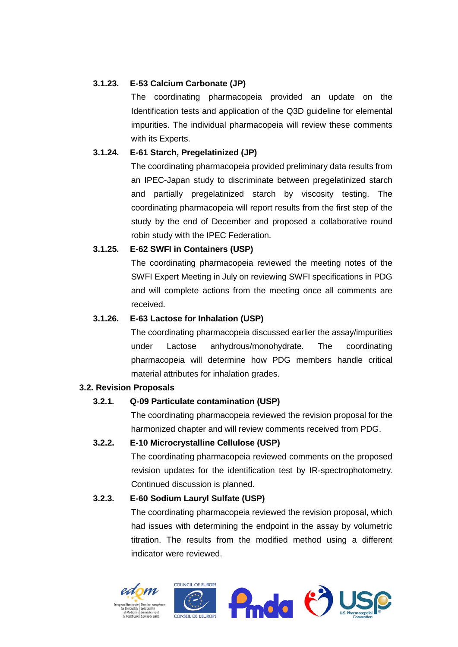### **3.1.23. E-53 Calcium Carbonate (JP)**

The coordinating pharmacopeia provided an update on the Identification tests and application of the Q3D guideline for elemental impurities. The individual pharmacopeia will review these comments with its Experts.

### **3.1.24. E-61 Starch, Pregelatinized (JP)**

The coordinating pharmacopeia provided preliminary data results from an IPEC-Japan study to discriminate between pregelatinized starch and partially pregelatinized starch by viscosity testing. The coordinating pharmacopeia will report results from the first step of the study by the end of December and proposed a collaborative round robin study with the IPEC Federation.

### **3.1.25. E-62 SWFI in Containers (USP)**

The coordinating pharmacopeia reviewed the meeting notes of the SWFI Expert Meeting in July on reviewing SWFI specifications in PDG and will complete actions from the meeting once all comments are received.

### **3.1.26. E-63 Lactose for Inhalation (USP)**

The coordinating pharmacopeia discussed earlier the assay/impurities under Lactose anhydrous/monohydrate. The coordinating pharmacopeia will determine how PDG members handle critical material attributes for inhalation grades.

#### **3.2. Revision Proposals**

## **3.2.1. Q-09 Particulate contamination (USP)**

The coordinating pharmacopeia reviewed the revision proposal for the harmonized chapter and will review comments received from PDG.

## **3.2.2. E-10 Microcrystalline Cellulose (USP)**

The coordinating pharmacopeia reviewed comments on the proposed revision updates for the identification test by IR-spectrophotometry. Continued discussion is planned.

## **3.2.3. E-60 Sodium Lauryl Sulfate (USP)**

The coordinating pharmacopeia reviewed the revision proposal, which had issues with determining the endpoint in the assay by volumetric titration. The results from the modified method using a different indicator were reviewed.